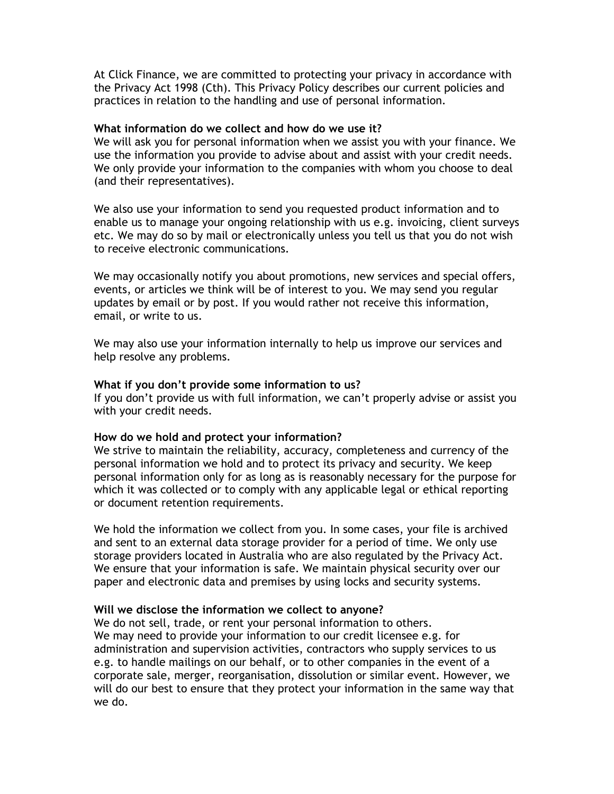At Click Finance, we are committed to protecting your privacy in accordance with the Privacy Act 1998 (Cth). This Privacy Policy describes our current policies and practices in relation to the handling and use of personal information.

## **What information do we collect and how do we use it?**

We will ask you for personal information when we assist you with your finance. We use the information you provide to advise about and assist with your credit needs. We only provide your information to the companies with whom you choose to deal (and their representatives).

We also use your information to send you requested product information and to enable us to manage your ongoing relationship with us e.g. invoicing, client surveys etc. We may do so by mail or electronically unless you tell us that you do not wish to receive electronic communications.

We may occasionally notify you about promotions, new services and special offers, events, or articles we think will be of interest to you. We may send you regular updates by email or by post. If you would rather not receive this information, email, or write to us.

We may also use your information internally to help us improve our services and help resolve any problems.

## **What if you don't provide some information to us?**

If you don't provide us with full information, we can't properly advise or assist you with your credit needs.

## **How do we hold and protect your information?**

We strive to maintain the reliability, accuracy, completeness and currency of the personal information we hold and to protect its privacy and security. We keep personal information only for as long as is reasonably necessary for the purpose for which it was collected or to comply with any applicable legal or ethical reporting or document retention requirements.

We hold the information we collect from you. In some cases, your file is archived and sent to an external data storage provider for a period of time. We only use storage providers located in Australia who are also regulated by the Privacy Act. We ensure that your information is safe. We maintain physical security over our paper and electronic data and premises by using locks and security systems.

### **Will we disclose the information we collect to anyone?**

We do not sell, trade, or rent your personal information to others. We may need to provide your information to our credit licensee e.g. for administration and supervision activities, contractors who supply services to us e.g. to handle mailings on our behalf, or to other companies in the event of a corporate sale, merger, reorganisation, dissolution or similar event. However, we will do our best to ensure that they protect your information in the same way that we do.